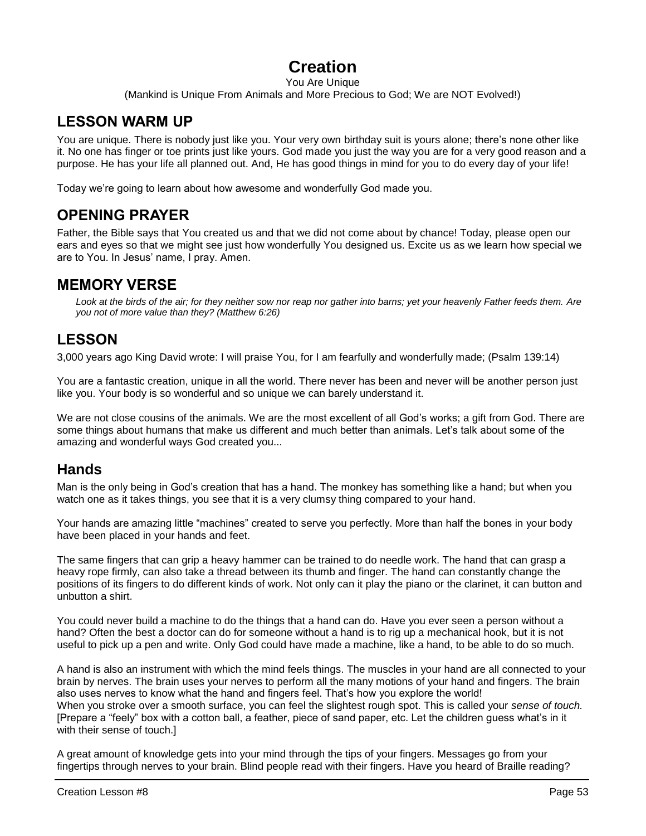# **Creation**

#### You Are Unique

(Mankind is Unique From Animals and More Precious to God; We are NOT Evolved!)

## **LESSON WARM UP**

You are unique. There is nobody just like you. Your very own birthday suit is yours alone; there's none other like it. No one has finger or toe prints just like yours. God made you just the way you are for a very good reason and a purpose. He has your life all planned out. And, He has good things in mind for you to do every day of your life!

Today we're going to learn about how awesome and wonderfully God made you.

## **OPENING PRAYER**

Father, the Bible says that You created us and that we did not come about by chance! Today, please open our ears and eyes so that we might see just how wonderfully You designed us. Excite us as we learn how special we are to You. In Jesus' name, I pray. Amen.

### **MEMORY VERSE**

*Look at the birds of the air; for they neither sow nor reap nor gather into barns; yet your heavenly Father feeds them. Are you not of more value than they? (Matthew 6:26)*

## **LESSON**

3,000 years ago King David wrote: I will praise You, for I am fearfully and wonderfully made; (Psalm 139:14)

You are a fantastic creation, unique in all the world. There never has been and never will be another person just like you. Your body is so wonderful and so unique we can barely understand it.

We are not close cousins of the animals. We are the most excellent of all God's works; a gift from God. There are some things about humans that make us different and much better than animals. Let's talk about some of the amazing and wonderful ways God created you...

## **Hands**

Man is the only being in God's creation that has a hand. The monkey has something like a hand; but when you watch one as it takes things, you see that it is a very clumsy thing compared to your hand.

Your hands are amazing little "machines" created to serve you perfectly. More than half the bones in your body have been placed in your hands and feet.

The same fingers that can grip a heavy hammer can be trained to do needle work. The hand that can grasp a heavy rope firmly, can also take a thread between its thumb and finger. The hand can constantly change the positions of its fingers to do different kinds of work. Not only can it play the piano or the clarinet, it can button and unbutton a shirt.

You could never build a machine to do the things that a hand can do. Have you ever seen a person without a hand? Often the best a doctor can do for someone without a hand is to rig up a mechanical hook, but it is not useful to pick up a pen and write. Only God could have made a machine, like a hand, to be able to do so much.

A hand is also an instrument with which the mind feels things. The muscles in your hand are all connected to your brain by nerves. The brain uses your nerves to perform all the many motions of your hand and fingers. The brain also uses nerves to know what the hand and fingers feel. That's how you explore the world! When you stroke over a smooth surface, you can feel the slightest rough spot. This is called your *sense of touch.*  [Prepare a "feely" box with a cotton ball, a feather, piece of sand paper, etc. Let the children guess what's in it with their sense of touch.]

A great amount of knowledge gets into your mind through the tips of your fingers. Messages go from your fingertips through nerves to your brain. Blind people read with their fingers. Have you heard of Braille reading?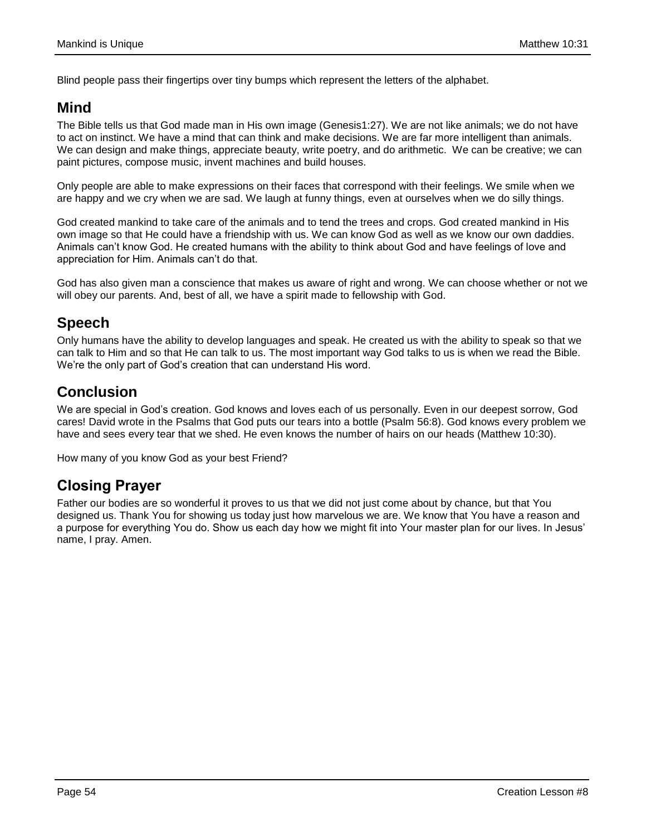Blind people pass their fingertips over tiny bumps which represent the letters of the alphabet.

## **Mind**

The Bible tells us that God made man in His own image (Genesis1:27). We are not like animals; we do not have to act on instinct. We have a mind that can think and make decisions. We are far more intelligent than animals. We can design and make things, appreciate beauty, write poetry, and do arithmetic. We can be creative; we can paint pictures, compose music, invent machines and build houses.

Only people are able to make expressions on their faces that correspond with their feelings. We smile when we are happy and we cry when we are sad. We laugh at funny things, even at ourselves when we do silly things.

God created mankind to take care of the animals and to tend the trees and crops. God created mankind in His own image so that He could have a friendship with us. We can know God as well as we know our own daddies. Animals can't know God. He created humans with the ability to think about God and have feelings of love and appreciation for Him. Animals can't do that.

God has also given man a conscience that makes us aware of right and wrong. We can choose whether or not we will obey our parents. And, best of all, we have a spirit made to fellowship with God.

## **Speech**

Only humans have the ability to develop languages and speak. He created us with the ability to speak so that we can talk to Him and so that He can talk to us. The most important way God talks to us is when we read the Bible. We're the only part of God's creation that can understand His word.

## **Conclusion**

We are special in God's creation. God knows and loves each of us personally. Even in our deepest sorrow, God cares! David wrote in the Psalms that God puts our tears into a bottle (Psalm 56:8). God knows every problem we have and sees every tear that we shed. He even knows the number of hairs on our heads (Matthew 10:30).

How many of you know God as your best Friend?

## **Closing Prayer**

Father our bodies are so wonderful it proves to us that we did not just come about by chance, but that You designed us. Thank You for showing us today just how marvelous we are. We know that You have a reason and a purpose for everything You do. Show us each day how we might fit into Your master plan for our lives. In Jesus' name, I pray. Amen.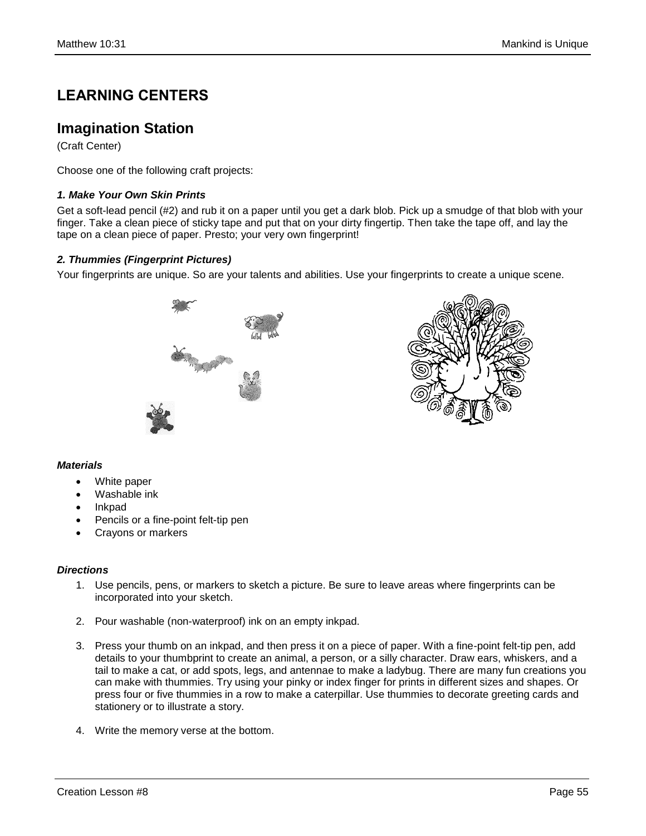# **LEARNING CENTERS**

### **Imagination Station**

(Craft Center)

Choose one of the following craft projects:

### *1. Make Your Own Skin Prints*

Get a soft-lead pencil (#2) and rub it on a paper until you get a dark blob. Pick up a smudge of that blob with your finger. Take a clean piece of sticky tape and put that on your dirty fingertip. Then take the tape off, and lay the tape on a clean piece of paper. Presto; your very own fingerprint!

### *2. Thummies (Fingerprint Pictures)*

Your fingerprints are unique. So are your talents and abilities. Use your fingerprints to create a unique scene.



### *Materials*

- White paper
- Washable ink
- Inkpad
- Pencils or a fine-point felt-tip pen
- Crayons or markers

### *Directions*

- 1. Use pencils, pens, or markers to sketch a picture. Be sure to leave areas where fingerprints can be incorporated into your sketch.
- 2. Pour washable (non-waterproof) ink on an empty inkpad.
- 3. Press your thumb on an inkpad, and then press it on a piece of paper. With a fine-point felt-tip pen, add details to your thumbprint to create an animal, a person, or a silly character. Draw ears, whiskers, and a tail to make a cat, or add spots, legs, and antennae to make a ladybug. There are many fun creations you can make with thummies. Try using your pinky or index finger for prints in different sizes and shapes. Or press four or five thummies in a row to make a caterpillar. Use thummies to decorate greeting cards and stationery or to illustrate a story.
- 4. Write the memory verse at the bottom.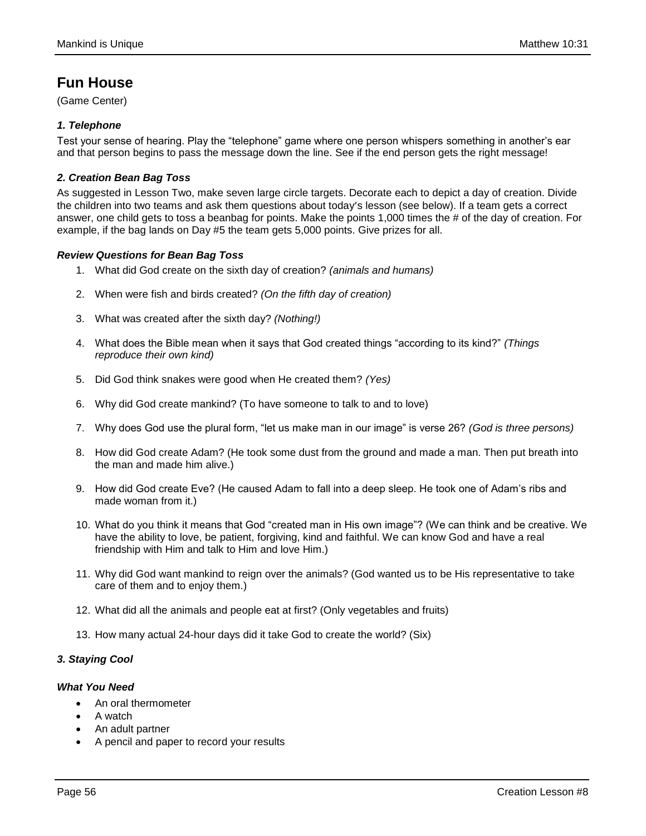## **Fun House**

(Game Center)

### *1. Telephone*

Test your sense of hearing. Play the "telephone" game where one person whispers something in another's ear and that person begins to pass the message down the line. See if the end person gets the right message!

### *2. Creation Bean Bag Toss*

As suggested in Lesson Two, make seven large circle targets. Decorate each to depict a day of creation. Divide the children into two teams and ask them questions about today's lesson (see below). If a team gets a correct answer, one child gets to toss a beanbag for points. Make the points 1,000 times the # of the day of creation. For example, if the bag lands on Day #5 the team gets 5,000 points. Give prizes for all.

### *Review Questions for Bean Bag Toss*

- 1. What did God create on the sixth day of creation? *(animals and humans)*
- 2. When were fish and birds created? *(On the fifth day of creation)*
- 3. What was created after the sixth day? *(Nothing!)*
- 4. What does the Bible mean when it says that God created things "according to its kind?" *(Things reproduce their own kind)*
- 5. Did God think snakes were good when He created them? *(Yes)*
- 6. Why did God create mankind? (To have someone to talk to and to love)
- 7. Why does God use the plural form, "let us make man in our image" is verse 26? *(God is three persons)*
- 8. How did God create Adam? (He took some dust from the ground and made a man. Then put breath into the man and made him alive.)
- 9. How did God create Eve? (He caused Adam to fall into a deep sleep. He took one of Adam's ribs and made woman from it.)
- 10. What do you think it means that God "created man in His own image"? (We can think and be creative. We have the ability to love, be patient, forgiving, kind and faithful. We can know God and have a real friendship with Him and talk to Him and love Him.)
- 11. Why did God want mankind to reign over the animals? (God wanted us to be His representative to take care of them and to enjoy them.)
- 12. What did all the animals and people eat at first? (Only vegetables and fruits)
- 13. How many actual 24-hour days did it take God to create the world? (Six)

### *3. Staying Cool*

### *What You Need*

- An oral thermometer
- A watch
- An adult partner
- A pencil and paper to record your results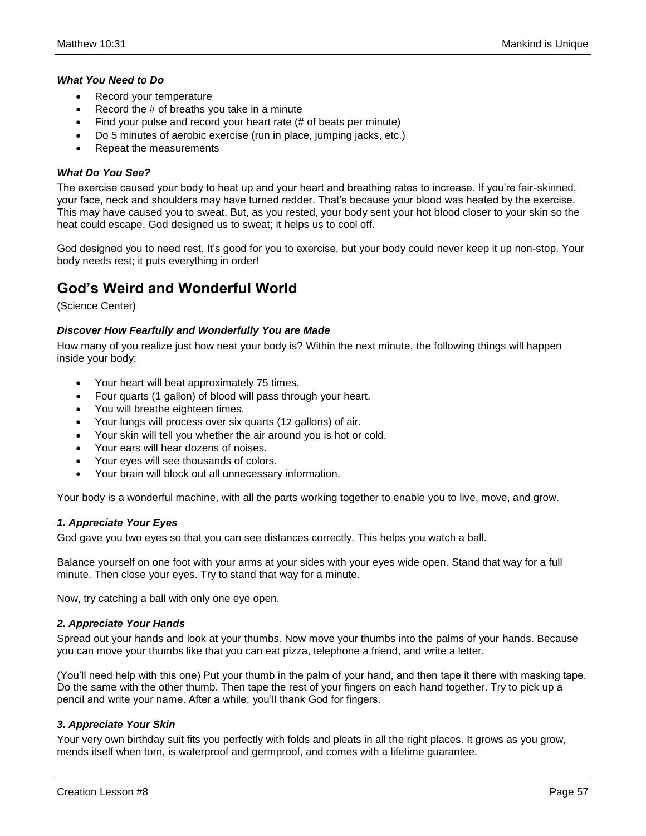#### *What You Need to Do*

- Record your temperature
- Record the # of breaths you take in a minute
- Find your pulse and record your heart rate (# of beats per minute)
- Do 5 minutes of aerobic exercise (run in place, jumping jacks, etc.)
- Repeat the measurements

#### *What Do You See?*

The exercise caused your body to heat up and your heart and breathing rates to increase. If you're fair-skinned, your face, neck and shoulders may have turned redder. That's because your blood was heated by the exercise. This may have caused you to sweat. But, as you rested, your body sent your hot blood closer to your skin so the heat could escape. God designed us to sweat; it helps us to cool off.

God designed you to need rest. It's good for you to exercise, but your body could never keep it up non-stop. Your body needs rest; it puts everything in order!

### **God's Weird and Wonderful World**

(Science Center)

#### *Discover How Fearfully and Wonderfully You are Made*

How many of you realize just how neat your body is? Within the next minute, the following things will happen inside your body:

- Your heart will beat approximately 75 times.
- Four quarts (1 gallon) of blood will pass through your heart.
- You will breathe eighteen times.
- Your lungs will process over six quarts (12 gallons) of air.
- Your skin will tell you whether the air around you is hot or cold.
- Your ears will hear dozens of noises.
- Your eyes will see thousands of colors.
- Your brain will block out all unnecessary information.

Your body is a wonderful machine, with all the parts working together to enable you to live, move, and grow.

#### *1. Appreciate Your Eyes*

God gave you two eyes so that you can see distances correctly. This helps you watch a ball.

Balance yourself on one foot with your arms at your sides with your eyes wide open. Stand that way for a full minute. Then close your eyes. Try to stand that way for a minute.

Now, try catching a ball with only one eye open.

#### *2. Appreciate Your Hands*

Spread out your hands and look at your thumbs. Now move your thumbs into the palms of your hands. Because you can move your thumbs like that you can eat pizza, telephone a friend, and write a letter.

(You'll need help with this one) Put your thumb in the palm of your hand, and then tape it there with masking tape. Do the same with the other thumb. Then tape the rest of your fingers on each hand together. Try to pick up a pencil and write your name. After a while, you'll thank God for fingers.

#### *3. Appreciate Your Skin*

Your very own birthday suit fits you perfectly with folds and pleats in all the right places. It grows as you grow, mends itself when torn, is waterproof and germproof, and comes with a lifetime guarantee.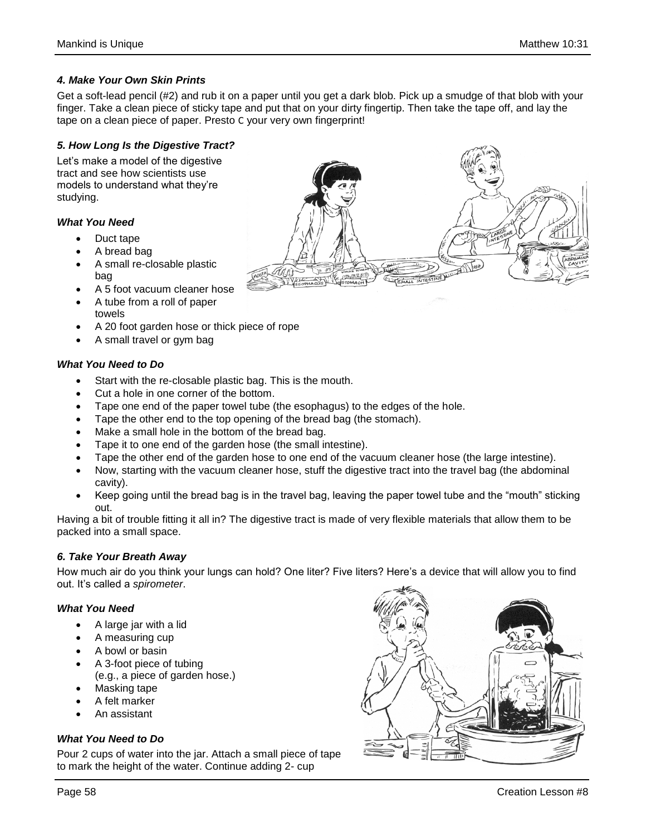### *4. Make Your Own Skin Prints*

Get a soft-lead pencil (#2) and rub it on a paper until you get a dark blob. Pick up a smudge of that blob with your finger. Take a clean piece of sticky tape and put that on your dirty fingertip. Then take the tape off, and lay the tape on a clean piece of paper. Presto C your very own fingerprint!

### *5. How Long Is the Digestive Tract?*

Let's make a model of the digestive tract and see how scientists use models to understand what they're studying.

#### *What You Need*

- Duct tape
- A bread bag
- A small re-closable plastic bag
- A 5 foot vacuum cleaner hose
- A tube from a roll of paper towels
- A 20 foot garden hose or thick piece of rope
- A small travel or gym bag

### *What You Need to Do*

- Start with the re-closable plastic bag. This is the mouth.
- Cut a hole in one corner of the bottom.
- Tape one end of the paper towel tube (the esophagus) to the edges of the hole.
- Tape the other end to the top opening of the bread bag (the stomach).
- Make a small hole in the bottom of the bread bag.
- Tape it to one end of the garden hose (the small intestine).
- Tape the other end of the garden hose to one end of the vacuum cleaner hose (the large intestine).
- Now, starting with the vacuum cleaner hose, stuff the digestive tract into the travel bag (the abdominal cavity).
- Keep going until the bread bag is in the travel bag, leaving the paper towel tube and the "mouth" sticking out.

Having a bit of trouble fitting it all in? The digestive tract is made of very flexible materials that allow them to be packed into a small space.

### *6. Take Your Breath Away*

How much air do you think your lungs can hold? One liter? Five liters? Here's a device that will allow you to find out. It's called a *spirometer*.

### *What You Need*

- A large jar with a lid
- A measuring cup
- A bowl or basin
- A 3-foot piece of tubing (e.g., a piece of garden hose.)
- Masking tape
- A felt marker
- An assistant

### *What You Need to Do*

Pour 2 cups of water into the jar. Attach a small piece of tape to mark the height of the water. Continue adding 2- cup